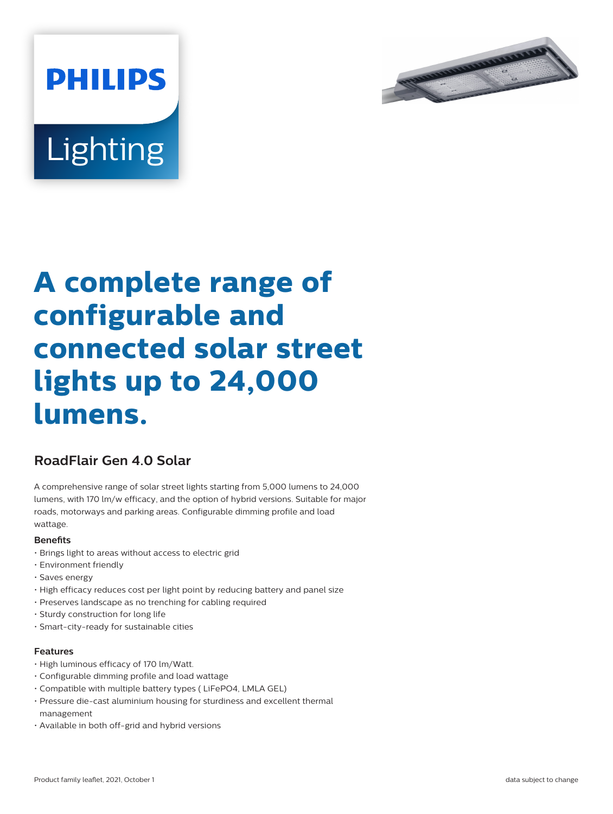

# **Lighting**

**PHILIPS** 

# **A complete range of configurable and connected solar street lights up to 24,000 lumens.**

## **RoadFlair Gen 4.0 Solar**

A comprehensive range of solar street lights starting from 5,000 lumens to 24,000 lumens, with 170 lm/w efficacy, and the option of hybrid versions. Suitable for major roads, motorways and parking areas. Configurable dimming profile and load wattage.

#### **Benets**

- Brings light to areas without access to electric grid
- Environment friendly
- Saves energy
- High efficacy reduces cost per light point by reducing battery and panel size
- Preserves landscape as no trenching for cabling required
- Sturdy construction for long life
- Smart-city-ready for sustainable cities

#### **Features**

- High luminous efficacy of 170 lm/Watt.
- Configurable dimming profile and load wattage
- Compatible with multiple battery types ( LiFePO4, LMLA GEL)
- Pressure die-cast aluminium housing for sturdiness and excellent thermal management
- Available in both off-grid and hybrid versions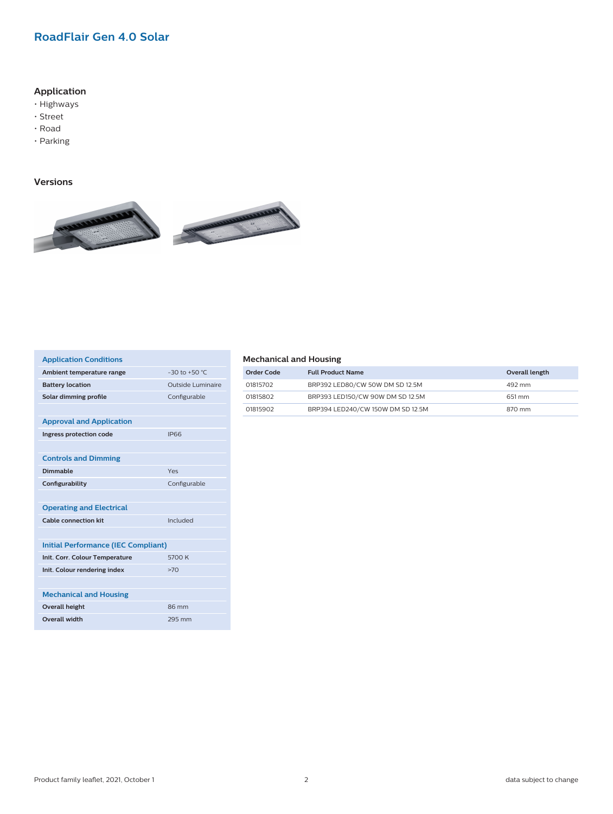### **RoadFlair Gen 4.0 Solar**

#### **Application**

- Highways
- Street
- Road
- Parking

#### **Versions**



| <b>Application Conditions</b>              |                   |  |
|--------------------------------------------|-------------------|--|
| Ambient temperature range                  | $-30$ to $+50$ °C |  |
| <b>Battery location</b>                    | Outside Luminaire |  |
| Solar dimming profile                      | Configurable      |  |
|                                            |                   |  |
| <b>Approval and Application</b>            |                   |  |
| Ingress protection code                    | <b>IP66</b>       |  |
|                                            |                   |  |
| <b>Controls and Dimming</b>                |                   |  |
| Dimmable                                   | Yes               |  |
| Configurability                            | Configurable      |  |
|                                            |                   |  |
| <b>Operating and Electrical</b>            |                   |  |
| <b>Cable connection kit</b>                | Included          |  |
|                                            |                   |  |
| <b>Initial Performance (IEC Compliant)</b> |                   |  |
| Init. Corr. Colour Temperature             | 5700 K            |  |
| Init. Colour rendering index               | >70               |  |
|                                            |                   |  |
| <b>Mechanical and Housing</b>              |                   |  |
| <b>Overall height</b>                      | 86 mm             |  |
| <b>Overall width</b>                       |                   |  |

#### **Mechanical and Housing**

| Order Code | <b>Full Product Name</b>          | Overall length |
|------------|-----------------------------------|----------------|
| 01815702   | BRP392 LED80/CW 50W DM SD 12.5M   | 492 mm         |
| 01815802   | BRP393 LED150/CW 90W DM SD 12.5M  | 651 mm         |
| 01815902   | BRP394 LED240/CW 150W DM SD 12.5M | 870 mm         |